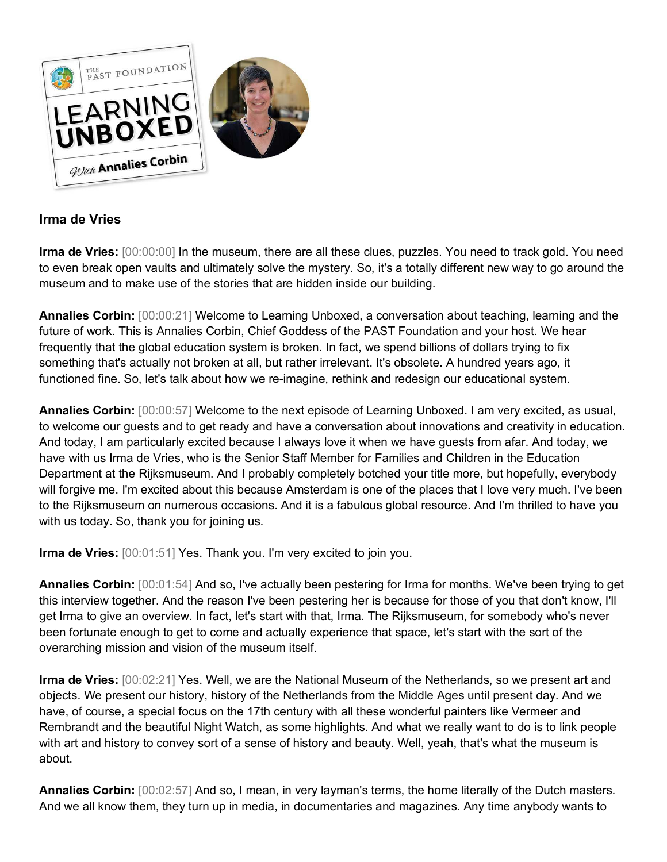

# **Irma de Vries**

**Irma de Vries:** [00:00:00] In the museum, there are all these clues, puzzles. You need to track gold. You need to even break open vaults and ultimately solve the mystery. So, it's a totally different new way to go around the museum and to make use of the stories that are hidden inside our building.

**Annalies Corbin:** [00:00:21] Welcome to Learning Unboxed, a conversation about teaching, learning and the future of work. This is Annalies Corbin, Chief Goddess of the PAST Foundation and your host. We hear frequently that the global education system is broken. In fact, we spend billions of dollars trying to fix something that's actually not broken at all, but rather irrelevant. It's obsolete. A hundred years ago, it functioned fine. So, let's talk about how we re-imagine, rethink and redesign our educational system.

**Annalies Corbin:** [00:00:57] Welcome to the next episode of Learning Unboxed. I am very excited, as usual, to welcome our guests and to get ready and have a conversation about innovations and creativity in education. And today, I am particularly excited because I always love it when we have guests from afar. And today, we have with us Irma de Vries, who is the Senior Staff Member for Families and Children in the Education Department at the Rijksmuseum. And I probably completely botched your title more, but hopefully, everybody will forgive me. I'm excited about this because Amsterdam is one of the places that I love very much. I've been to the Rijksmuseum on numerous occasions. And it is a fabulous global resource. And I'm thrilled to have you with us today. So, thank you for joining us.

**Irma de Vries:** [00:01:51] Yes. Thank you. I'm very excited to join you.

**Annalies Corbin:** [00:01:54] And so, I've actually been pestering for Irma for months. We've been trying to get this interview together. And the reason I've been pestering her is because for those of you that don't know, I'll get Irma to give an overview. In fact, let's start with that, Irma. The Rijksmuseum, for somebody who's never been fortunate enough to get to come and actually experience that space, let's start with the sort of the overarching mission and vision of the museum itself.

**Irma de Vries:** [00:02:21] Yes. Well, we are the National Museum of the Netherlands, so we present art and objects. We present our history, history of the Netherlands from the Middle Ages until present day. And we have, of course, a special focus on the 17th century with all these wonderful painters like Vermeer and Rembrandt and the beautiful Night Watch, as some highlights. And what we really want to do is to link people with art and history to convey sort of a sense of history and beauty. Well, yeah, that's what the museum is about.

**Annalies Corbin:** [00:02:57] And so, I mean, in very layman's terms, the home literally of the Dutch masters. And we all know them, they turn up in media, in documentaries and magazines. Any time anybody wants to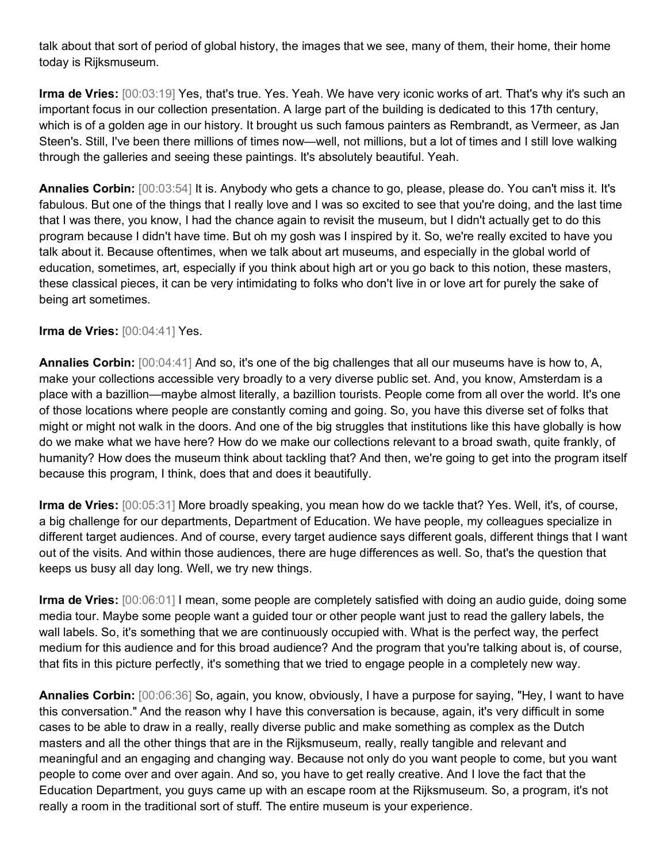talk about that sort of period of global history, the images that we see, many of them, their home, their home today is Rijksmuseum.

**Irma de Vries:** [00:03:19] Yes, that's true. Yes. Yeah. We have very iconic works of art. That's why it's such an important focus in our collection presentation. A large part of the building is dedicated to this 17th century, which is of a golden age in our history. It brought us such famous painters as Rembrandt, as Vermeer, as Jan Steen's. Still, I've been there millions of times now—well, not millions, but a lot of times and I still love walking through the galleries and seeing these paintings. It's absolutely beautiful. Yeah.

**Annalies Corbin:** [00:03:54] It is. Anybody who gets a chance to go, please, please do. You can't miss it. It's fabulous. But one of the things that I really love and I was so excited to see that you're doing, and the last time that I was there, you know, I had the chance again to revisit the museum, but I didn't actually get to do this program because I didn't have time. But oh my gosh was I inspired by it. So, we're really excited to have you talk about it. Because oftentimes, when we talk about art museums, and especially in the global world of education, sometimes, art, especially if you think about high art or you go back to this notion, these masters, these classical pieces, it can be very intimidating to folks who don't live in or love art for purely the sake of being art sometimes.

### **Irma de Vries:** [00:04:41] Yes.

**Annalies Corbin:** [00:04:41] And so, it's one of the big challenges that all our museums have is how to, A, make your collections accessible very broadly to a very diverse public set. And, you know, Amsterdam is a place with a bazillion—maybe almost literally, a bazillion tourists. People come from all over the world. It's one of those locations where people are constantly coming and going. So, you have this diverse set of folks that might or might not walk in the doors. And one of the big struggles that institutions like this have globally is how do we make what we have here? How do we make our collections relevant to a broad swath, quite frankly, of humanity? How does the museum think about tackling that? And then, we're going to get into the program itself because this program, I think, does that and does it beautifully.

**Irma de Vries:** [00:05:31] More broadly speaking, you mean how do we tackle that? Yes. Well, it's, of course, a big challenge for our departments, Department of Education. We have people, my colleagues specialize in different target audiences. And of course, every target audience says different goals, different things that I want out of the visits. And within those audiences, there are huge differences as well. So, that's the question that keeps us busy all day long. Well, we try new things.

**Irma de Vries:** [00:06:01] I mean, some people are completely satisfied with doing an audio guide, doing some media tour. Maybe some people want a guided tour or other people want just to read the gallery labels, the wall labels. So, it's something that we are continuously occupied with. What is the perfect way, the perfect medium for this audience and for this broad audience? And the program that you're talking about is, of course, that fits in this picture perfectly, it's something that we tried to engage people in a completely new way.

**Annalies Corbin:** [00:06:36] So, again, you know, obviously, I have a purpose for saying, "Hey, I want to have this conversation." And the reason why I have this conversation is because, again, it's very difficult in some cases to be able to draw in a really, really diverse public and make something as complex as the Dutch masters and all the other things that are in the Rijksmuseum, really, really tangible and relevant and meaningful and an engaging and changing way. Because not only do you want people to come, but you want people to come over and over again. And so, you have to get really creative. And I love the fact that the Education Department, you guys came up with an escape room at the Rijksmuseum. So, a program, it's not really a room in the traditional sort of stuff. The entire museum is your experience.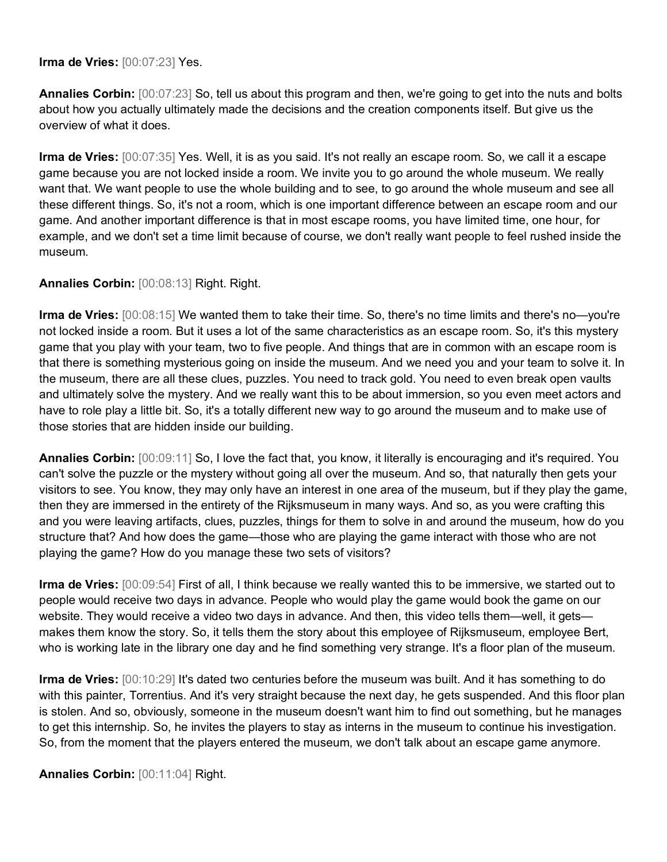**Irma de Vries:** [00:07:23] Yes.

**Annalies Corbin:** [00:07:23] So, tell us about this program and then, we're going to get into the nuts and bolts about how you actually ultimately made the decisions and the creation components itself. But give us the overview of what it does.

**Irma de Vries:** [00:07:35] Yes. Well, it is as you said. It's not really an escape room. So, we call it a escape game because you are not locked inside a room. We invite you to go around the whole museum. We really want that. We want people to use the whole building and to see, to go around the whole museum and see all these different things. So, it's not a room, which is one important difference between an escape room and our game. And another important difference is that in most escape rooms, you have limited time, one hour, for example, and we don't set a time limit because of course, we don't really want people to feel rushed inside the museum.

**Annalies Corbin:** [00:08:13] Right. Right.

**Irma de Vries:** [00:08:15] We wanted them to take their time. So, there's no time limits and there's no—you're not locked inside a room. But it uses a lot of the same characteristics as an escape room. So, it's this mystery game that you play with your team, two to five people. And things that are in common with an escape room is that there is something mysterious going on inside the museum. And we need you and your team to solve it. In the museum, there are all these clues, puzzles. You need to track gold. You need to even break open vaults and ultimately solve the mystery. And we really want this to be about immersion, so you even meet actors and have to role play a little bit. So, it's a totally different new way to go around the museum and to make use of those stories that are hidden inside our building.

**Annalies Corbin:** [00:09:11] So, I love the fact that, you know, it literally is encouraging and it's required. You can't solve the puzzle or the mystery without going all over the museum. And so, that naturally then gets your visitors to see. You know, they may only have an interest in one area of the museum, but if they play the game, then they are immersed in the entirety of the Rijksmuseum in many ways. And so, as you were crafting this and you were leaving artifacts, clues, puzzles, things for them to solve in and around the museum, how do you structure that? And how does the game—those who are playing the game interact with those who are not playing the game? How do you manage these two sets of visitors?

**Irma de Vries:** [00:09:54] First of all, I think because we really wanted this to be immersive, we started out to people would receive two days in advance. People who would play the game would book the game on our website. They would receive a video two days in advance. And then, this video tells them—well, it gets makes them know the story. So, it tells them the story about this employee of Rijksmuseum, employee Bert, who is working late in the library one day and he find something very strange. It's a floor plan of the museum.

**Irma de Vries:** [00:10:29] It's dated two centuries before the museum was built. And it has something to do with this painter, Torrentius. And it's very straight because the next day, he gets suspended. And this floor plan is stolen. And so, obviously, someone in the museum doesn't want him to find out something, but he manages to get this internship. So, he invites the players to stay as interns in the museum to continue his investigation. So, from the moment that the players entered the museum, we don't talk about an escape game anymore.

**Annalies Corbin:** [00:11:04] Right.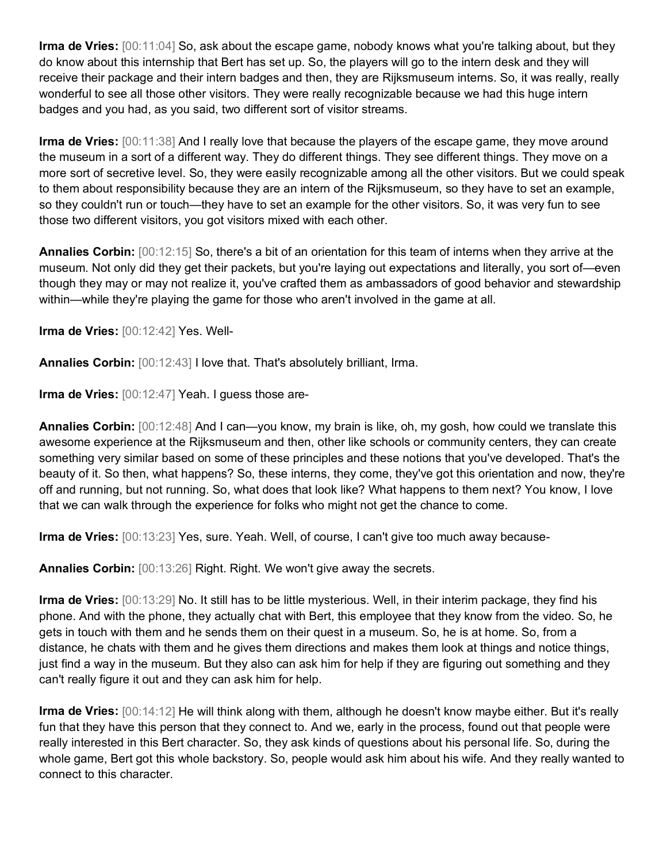**Irma de Vries:** [00:11:04] So, ask about the escape game, nobody knows what you're talking about, but they do know about this internship that Bert has set up. So, the players will go to the intern desk and they will receive their package and their intern badges and then, they are Rijksmuseum interns. So, it was really, really wonderful to see all those other visitors. They were really recognizable because we had this huge intern badges and you had, as you said, two different sort of visitor streams.

**Irma de Vries:** [00:11:38] And I really love that because the players of the escape game, they move around the museum in a sort of a different way. They do different things. They see different things. They move on a more sort of secretive level. So, they were easily recognizable among all the other visitors. But we could speak to them about responsibility because they are an intern of the Rijksmuseum, so they have to set an example, so they couldn't run or touch—they have to set an example for the other visitors. So, it was very fun to see those two different visitors, you got visitors mixed with each other.

**Annalies Corbin:** [00:12:15] So, there's a bit of an orientation for this team of interns when they arrive at the museum. Not only did they get their packets, but you're laying out expectations and literally, you sort of—even though they may or may not realize it, you've crafted them as ambassadors of good behavior and stewardship within—while they're playing the game for those who aren't involved in the game at all.

**Irma de Vries:** [00:12:42] Yes. Well-

**Annalies Corbin:** [00:12:43] I love that. That's absolutely brilliant, Irma.

**Irma de Vries:** [00:12:47] Yeah. I guess those are-

**Annalies Corbin:** [00:12:48] And I can—you know, my brain is like, oh, my gosh, how could we translate this awesome experience at the Rijksmuseum and then, other like schools or community centers, they can create something very similar based on some of these principles and these notions that you've developed. That's the beauty of it. So then, what happens? So, these interns, they come, they've got this orientation and now, they're off and running, but not running. So, what does that look like? What happens to them next? You know, I love that we can walk through the experience for folks who might not get the chance to come.

**Irma de Vries:** [00:13:23] Yes, sure. Yeah. Well, of course, I can't give too much away because-

**Annalies Corbin:** [00:13:26] Right. Right. We won't give away the secrets.

**Irma de Vries:** [00:13:29] No. It still has to be little mysterious. Well, in their interim package, they find his phone. And with the phone, they actually chat with Bert, this employee that they know from the video. So, he gets in touch with them and he sends them on their quest in a museum. So, he is at home. So, from a distance, he chats with them and he gives them directions and makes them look at things and notice things, just find a way in the museum. But they also can ask him for help if they are figuring out something and they can't really figure it out and they can ask him for help.

**Irma de Vries:** [00:14:12] He will think along with them, although he doesn't know maybe either. But it's really fun that they have this person that they connect to. And we, early in the process, found out that people were really interested in this Bert character. So, they ask kinds of questions about his personal life. So, during the whole game, Bert got this whole backstory. So, people would ask him about his wife. And they really wanted to connect to this character.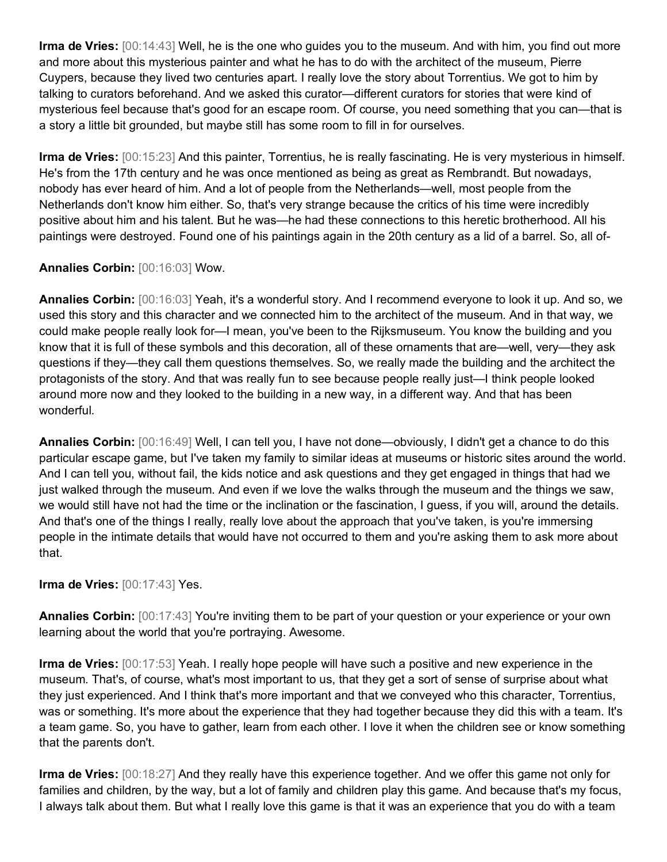**Irma de Vries:** [00:14:43] Well, he is the one who guides you to the museum. And with him, you find out more and more about this mysterious painter and what he has to do with the architect of the museum, Pierre Cuypers, because they lived two centuries apart. I really love the story about Torrentius. We got to him by talking to curators beforehand. And we asked this curator—different curators for stories that were kind of mysterious feel because that's good for an escape room. Of course, you need something that you can—that is a story a little bit grounded, but maybe still has some room to fill in for ourselves.

**Irma de Vries:** [00:15:23] And this painter, Torrentius, he is really fascinating. He is very mysterious in himself. He's from the 17th century and he was once mentioned as being as great as Rembrandt. But nowadays, nobody has ever heard of him. And a lot of people from the Netherlands—well, most people from the Netherlands don't know him either. So, that's very strange because the critics of his time were incredibly positive about him and his talent. But he was—he had these connections to this heretic brotherhood. All his paintings were destroyed. Found one of his paintings again in the 20th century as a lid of a barrel. So, all of-

### **Annalies Corbin:** [00:16:03] Wow.

**Annalies Corbin:** [00:16:03] Yeah, it's a wonderful story. And I recommend everyone to look it up. And so, we used this story and this character and we connected him to the architect of the museum. And in that way, we could make people really look for—I mean, you've been to the Rijksmuseum. You know the building and you know that it is full of these symbols and this decoration, all of these ornaments that are—well, very—they ask questions if they—they call them questions themselves. So, we really made the building and the architect the protagonists of the story. And that was really fun to see because people really just—I think people looked around more now and they looked to the building in a new way, in a different way. And that has been wonderful.

**Annalies Corbin:** [00:16:49] Well, I can tell you, I have not done—obviously, I didn't get a chance to do this particular escape game, but I've taken my family to similar ideas at museums or historic sites around the world. And I can tell you, without fail, the kids notice and ask questions and they get engaged in things that had we just walked through the museum. And even if we love the walks through the museum and the things we saw, we would still have not had the time or the inclination or the fascination, I guess, if you will, around the details. And that's one of the things I really, really love about the approach that you've taken, is you're immersing people in the intimate details that would have not occurred to them and you're asking them to ask more about that.

#### **Irma de Vries:** [00:17:43] Yes.

**Annalies Corbin:** [00:17:43] You're inviting them to be part of your question or your experience or your own learning about the world that you're portraying. Awesome.

**Irma de Vries:** [00:17:53] Yeah. I really hope people will have such a positive and new experience in the museum. That's, of course, what's most important to us, that they get a sort of sense of surprise about what they just experienced. And I think that's more important and that we conveyed who this character, Torrentius, was or something. It's more about the experience that they had together because they did this with a team. It's a team game. So, you have to gather, learn from each other. I love it when the children see or know something that the parents don't.

**Irma de Vries:** [00:18:27] And they really have this experience together. And we offer this game not only for families and children, by the way, but a lot of family and children play this game. And because that's my focus, I always talk about them. But what I really love this game is that it was an experience that you do with a team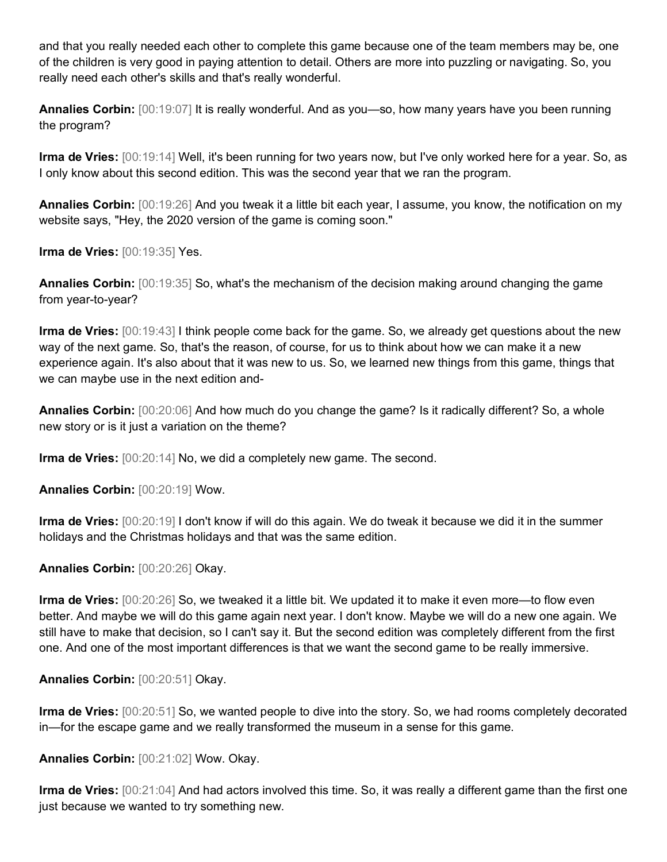and that you really needed each other to complete this game because one of the team members may be, one of the children is very good in paying attention to detail. Others are more into puzzling or navigating. So, you really need each other's skills and that's really wonderful.

**Annalies Corbin:** [00:19:07] It is really wonderful. And as you—so, how many years have you been running the program?

**Irma de Vries:** [00:19:14] Well, it's been running for two years now, but I've only worked here for a year. So, as I only know about this second edition. This was the second year that we ran the program.

**Annalies Corbin:** [00:19:26] And you tweak it a little bit each year, I assume, you know, the notification on my website says, "Hey, the 2020 version of the game is coming soon."

**Irma de Vries:** [00:19:35] Yes.

**Annalies Corbin:** [00:19:35] So, what's the mechanism of the decision making around changing the game from year-to-year?

**Irma de Vries:** [00:19:43] I think people come back for the game. So, we already get questions about the new way of the next game. So, that's the reason, of course, for us to think about how we can make it a new experience again. It's also about that it was new to us. So, we learned new things from this game, things that we can maybe use in the next edition and-

**Annalies Corbin:** [00:20:06] And how much do you change the game? Is it radically different? So, a whole new story or is it just a variation on the theme?

**Irma de Vries:** [00:20:14] No, we did a completely new game. The second.

**Annalies Corbin:** [00:20:19] Wow.

**Irma de Vries:** [00:20:19] I don't know if will do this again. We do tweak it because we did it in the summer holidays and the Christmas holidays and that was the same edition.

**Annalies Corbin:** [00:20:26] Okay.

**Irma de Vries:** [00:20:26] So, we tweaked it a little bit. We updated it to make it even more—to flow even better. And maybe we will do this game again next year. I don't know. Maybe we will do a new one again. We still have to make that decision, so I can't say it. But the second edition was completely different from the first one. And one of the most important differences is that we want the second game to be really immersive.

**Annalies Corbin:** [00:20:51] Okay.

**Irma de Vries:** [00:20:51] So, we wanted people to dive into the story. So, we had rooms completely decorated in—for the escape game and we really transformed the museum in a sense for this game.

**Annalies Corbin:** [00:21:02] Wow. Okay.

**Irma de Vries:** [00:21:04] And had actors involved this time. So, it was really a different game than the first one just because we wanted to try something new.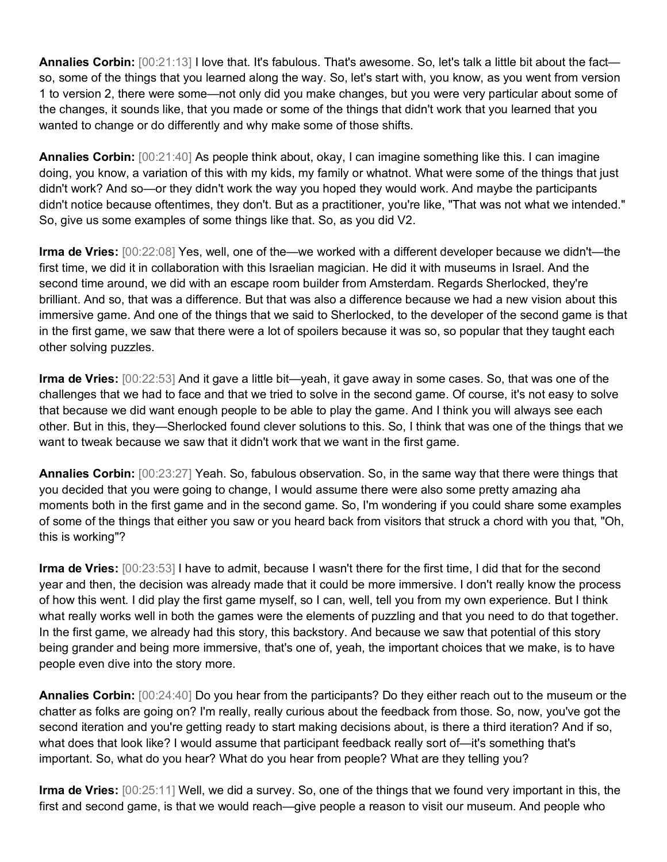**Annalies Corbin:** [00:21:13] I love that. It's fabulous. That's awesome. So, let's talk a little bit about the fact so, some of the things that you learned along the way. So, let's start with, you know, as you went from version 1 to version 2, there were some—not only did you make changes, but you were very particular about some of the changes, it sounds like, that you made or some of the things that didn't work that you learned that you wanted to change or do differently and why make some of those shifts.

**Annalies Corbin:** [00:21:40] As people think about, okay, I can imagine something like this. I can imagine doing, you know, a variation of this with my kids, my family or whatnot. What were some of the things that just didn't work? And so—or they didn't work the way you hoped they would work. And maybe the participants didn't notice because oftentimes, they don't. But as a practitioner, you're like, "That was not what we intended." So, give us some examples of some things like that. So, as you did V2.

**Irma de Vries:** [00:22:08] Yes, well, one of the—we worked with a different developer because we didn't—the first time, we did it in collaboration with this Israelian magician. He did it with museums in Israel. And the second time around, we did with an escape room builder from Amsterdam. Regards Sherlocked, they're brilliant. And so, that was a difference. But that was also a difference because we had a new vision about this immersive game. And one of the things that we said to Sherlocked, to the developer of the second game is that in the first game, we saw that there were a lot of spoilers because it was so, so popular that they taught each other solving puzzles.

**Irma de Vries:** [00:22:53] And it gave a little bit—yeah, it gave away in some cases. So, that was one of the challenges that we had to face and that we tried to solve in the second game. Of course, it's not easy to solve that because we did want enough people to be able to play the game. And I think you will always see each other. But in this, they—Sherlocked found clever solutions to this. So, I think that was one of the things that we want to tweak because we saw that it didn't work that we want in the first game.

**Annalies Corbin:** [00:23:27] Yeah. So, fabulous observation. So, in the same way that there were things that you decided that you were going to change, I would assume there were also some pretty amazing aha moments both in the first game and in the second game. So, I'm wondering if you could share some examples of some of the things that either you saw or you heard back from visitors that struck a chord with you that, "Oh, this is working"?

**Irma de Vries:** [00:23:53] I have to admit, because I wasn't there for the first time, I did that for the second year and then, the decision was already made that it could be more immersive. I don't really know the process of how this went. I did play the first game myself, so I can, well, tell you from my own experience. But I think what really works well in both the games were the elements of puzzling and that you need to do that together. In the first game, we already had this story, this backstory. And because we saw that potential of this story being grander and being more immersive, that's one of, yeah, the important choices that we make, is to have people even dive into the story more.

**Annalies Corbin:** [00:24:40] Do you hear from the participants? Do they either reach out to the museum or the chatter as folks are going on? I'm really, really curious about the feedback from those. So, now, you've got the second iteration and you're getting ready to start making decisions about, is there a third iteration? And if so, what does that look like? I would assume that participant feedback really sort of—it's something that's important. So, what do you hear? What do you hear from people? What are they telling you?

**Irma de Vries:** [00:25:11] Well, we did a survey. So, one of the things that we found very important in this, the first and second game, is that we would reach—give people a reason to visit our museum. And people who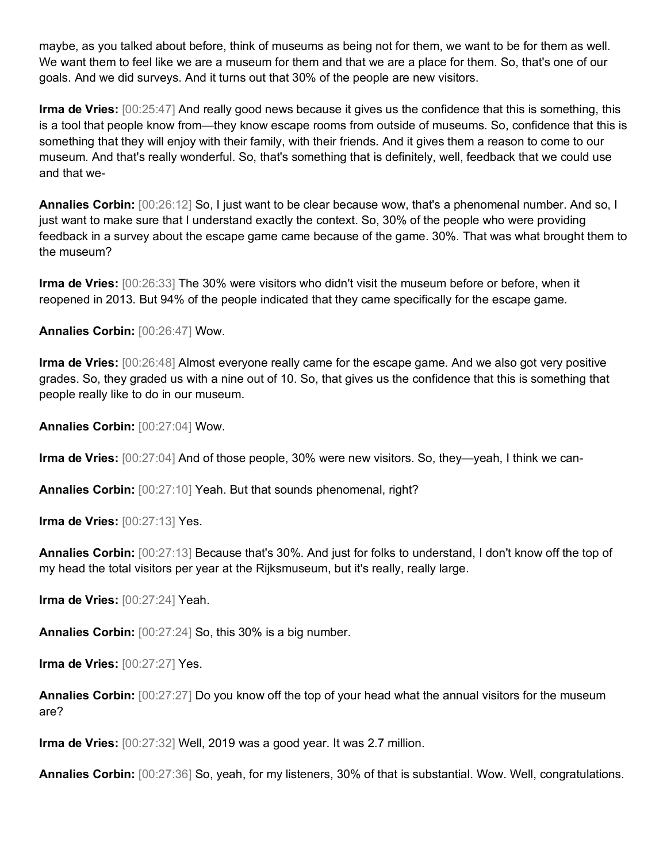maybe, as you talked about before, think of museums as being not for them, we want to be for them as well. We want them to feel like we are a museum for them and that we are a place for them. So, that's one of our goals. And we did surveys. And it turns out that 30% of the people are new visitors.

**Irma de Vries:** [00:25:47] And really good news because it gives us the confidence that this is something, this is a tool that people know from—they know escape rooms from outside of museums. So, confidence that this is something that they will enjoy with their family, with their friends. And it gives them a reason to come to our museum. And that's really wonderful. So, that's something that is definitely, well, feedback that we could use and that we-

**Annalies Corbin:** [00:26:12] So, I just want to be clear because wow, that's a phenomenal number. And so, I just want to make sure that I understand exactly the context. So, 30% of the people who were providing feedback in a survey about the escape game came because of the game. 30%. That was what brought them to the museum?

**Irma de Vries:** [00:26:33] The 30% were visitors who didn't visit the museum before or before, when it reopened in 2013. But 94% of the people indicated that they came specifically for the escape game.

**Annalies Corbin:** [00:26:47] Wow.

**Irma de Vries:** [00:26:48] Almost everyone really came for the escape game. And we also got very positive grades. So, they graded us with a nine out of 10. So, that gives us the confidence that this is something that people really like to do in our museum.

**Annalies Corbin:** [00:27:04] Wow.

**Irma de Vries:** [00:27:04] And of those people, 30% were new visitors. So, they—yeah, I think we can-

**Annalies Corbin:** [00:27:10] Yeah. But that sounds phenomenal, right?

**Irma de Vries:** [00:27:13] Yes.

**Annalies Corbin:** [00:27:13] Because that's 30%. And just for folks to understand, I don't know off the top of my head the total visitors per year at the Rijksmuseum, but it's really, really large.

**Irma de Vries:** [00:27:24] Yeah.

**Annalies Corbin:** [00:27:24] So, this 30% is a big number.

**Irma de Vries:** [00:27:27] Yes.

**Annalies Corbin:** [00:27:27] Do you know off the top of your head what the annual visitors for the museum are?

**Irma de Vries:** [00:27:32] Well, 2019 was a good year. It was 2.7 million.

**Annalies Corbin:** [00:27:36] So, yeah, for my listeners, 30% of that is substantial. Wow. Well, congratulations.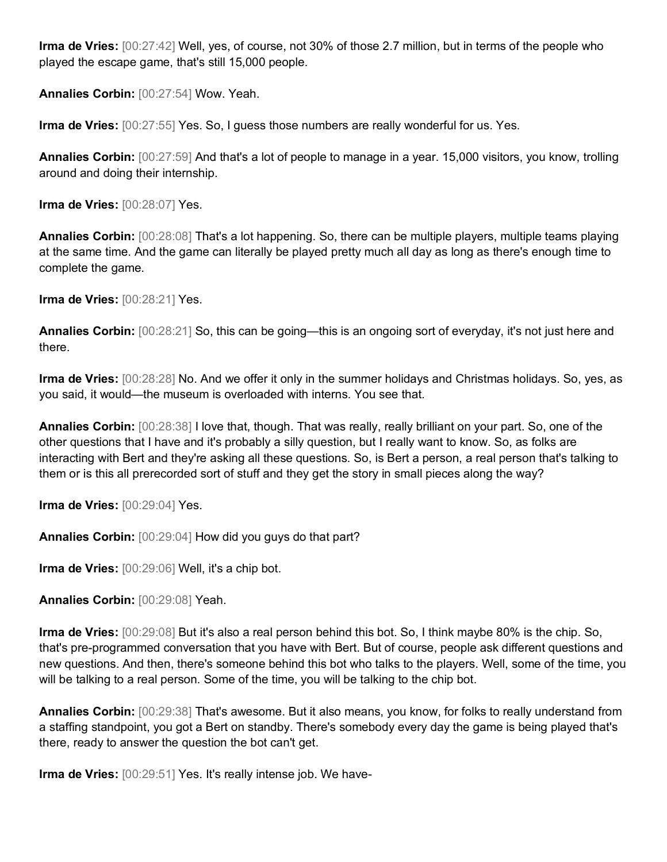**Irma de Vries:** [00:27:42] Well, yes, of course, not 30% of those 2.7 million, but in terms of the people who played the escape game, that's still 15,000 people.

**Annalies Corbin:** [00:27:54] Wow. Yeah.

**Irma de Vries:** [00:27:55] Yes. So, I guess those numbers are really wonderful for us. Yes.

**Annalies Corbin:** [00:27:59] And that's a lot of people to manage in a year. 15,000 visitors, you know, trolling around and doing their internship.

**Irma de Vries:** [00:28:07] Yes.

**Annalies Corbin:** [00:28:08] That's a lot happening. So, there can be multiple players, multiple teams playing at the same time. And the game can literally be played pretty much all day as long as there's enough time to complete the game.

**Irma de Vries:** [00:28:21] Yes.

**Annalies Corbin:** [00:28:21] So, this can be going—this is an ongoing sort of everyday, it's not just here and there.

**Irma de Vries:** [00:28:28] No. And we offer it only in the summer holidays and Christmas holidays. So, yes, as you said, it would—the museum is overloaded with interns. You see that.

**Annalies Corbin:** [00:28:38] I love that, though. That was really, really brilliant on your part. So, one of the other questions that I have and it's probably a silly question, but I really want to know. So, as folks are interacting with Bert and they're asking all these questions. So, is Bert a person, a real person that's talking to them or is this all prerecorded sort of stuff and they get the story in small pieces along the way?

**Irma de Vries:** [00:29:04] Yes.

**Annalies Corbin:** [00:29:04] How did you guys do that part?

**Irma de Vries:** [00:29:06] Well, it's a chip bot.

**Annalies Corbin:** [00:29:08] Yeah.

**Irma de Vries:** [00:29:08] But it's also a real person behind this bot. So, I think maybe 80% is the chip. So, that's pre-programmed conversation that you have with Bert. But of course, people ask different questions and new questions. And then, there's someone behind this bot who talks to the players. Well, some of the time, you will be talking to a real person. Some of the time, you will be talking to the chip bot.

**Annalies Corbin:** [00:29:38] That's awesome. But it also means, you know, for folks to really understand from a staffing standpoint, you got a Bert on standby. There's somebody every day the game is being played that's there, ready to answer the question the bot can't get.

**Irma de Vries:** [00:29:51] Yes. It's really intense job. We have-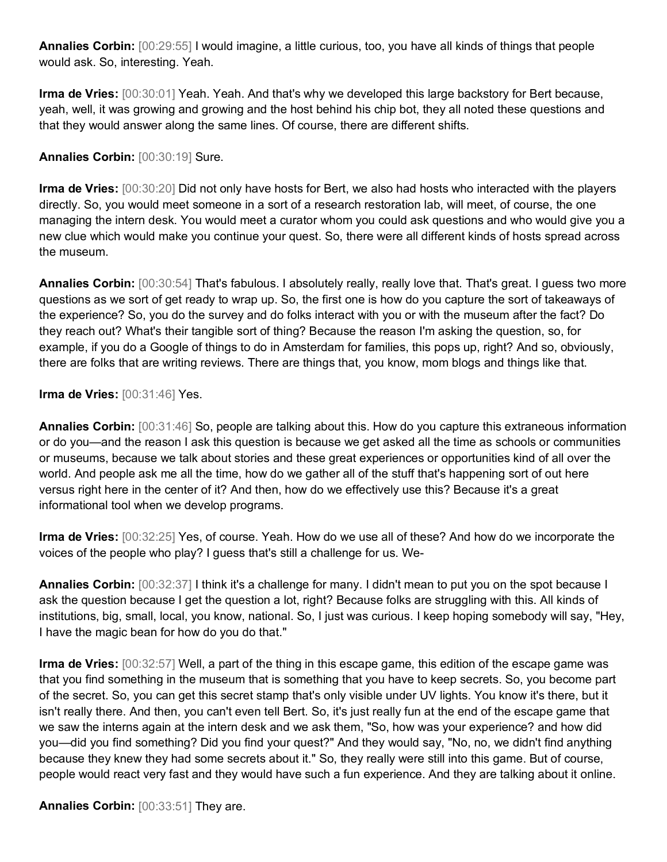**Annalies Corbin:** [00:29:55] I would imagine, a little curious, too, you have all kinds of things that people would ask. So, interesting. Yeah.

**Irma de Vries:** [00:30:01] Yeah. Yeah. And that's why we developed this large backstory for Bert because, yeah, well, it was growing and growing and the host behind his chip bot, they all noted these questions and that they would answer along the same lines. Of course, there are different shifts.

## **Annalies Corbin:** [00:30:19] Sure.

**Irma de Vries:** [00:30:20] Did not only have hosts for Bert, we also had hosts who interacted with the players directly. So, you would meet someone in a sort of a research restoration lab, will meet, of course, the one managing the intern desk. You would meet a curator whom you could ask questions and who would give you a new clue which would make you continue your quest. So, there were all different kinds of hosts spread across the museum.

**Annalies Corbin:** [00:30:54] That's fabulous. I absolutely really, really love that. That's great. I guess two more questions as we sort of get ready to wrap up. So, the first one is how do you capture the sort of takeaways of the experience? So, you do the survey and do folks interact with you or with the museum after the fact? Do they reach out? What's their tangible sort of thing? Because the reason I'm asking the question, so, for example, if you do a Google of things to do in Amsterdam for families, this pops up, right? And so, obviously, there are folks that are writing reviews. There are things that, you know, mom blogs and things like that.

### **Irma de Vries:** [00:31:46] Yes.

**Annalies Corbin:** [00:31:46] So, people are talking about this. How do you capture this extraneous information or do you—and the reason I ask this question is because we get asked all the time as schools or communities or museums, because we talk about stories and these great experiences or opportunities kind of all over the world. And people ask me all the time, how do we gather all of the stuff that's happening sort of out here versus right here in the center of it? And then, how do we effectively use this? Because it's a great informational tool when we develop programs.

**Irma de Vries:** [00:32:25] Yes, of course. Yeah. How do we use all of these? And how do we incorporate the voices of the people who play? I guess that's still a challenge for us. We-

**Annalies Corbin:** [00:32:37] I think it's a challenge for many. I didn't mean to put you on the spot because I ask the question because I get the question a lot, right? Because folks are struggling with this. All kinds of institutions, big, small, local, you know, national. So, I just was curious. I keep hoping somebody will say, "Hey, I have the magic bean for how do you do that."

**Irma de Vries:** [00:32:57] Well, a part of the thing in this escape game, this edition of the escape game was that you find something in the museum that is something that you have to keep secrets. So, you become part of the secret. So, you can get this secret stamp that's only visible under UV lights. You know it's there, but it isn't really there. And then, you can't even tell Bert. So, it's just really fun at the end of the escape game that we saw the interns again at the intern desk and we ask them, "So, how was your experience? and how did you—did you find something? Did you find your quest?" And they would say, "No, no, we didn't find anything because they knew they had some secrets about it." So, they really were still into this game. But of course, people would react very fast and they would have such a fun experience. And they are talking about it online.

**Annalies Corbin:** [00:33:51] They are.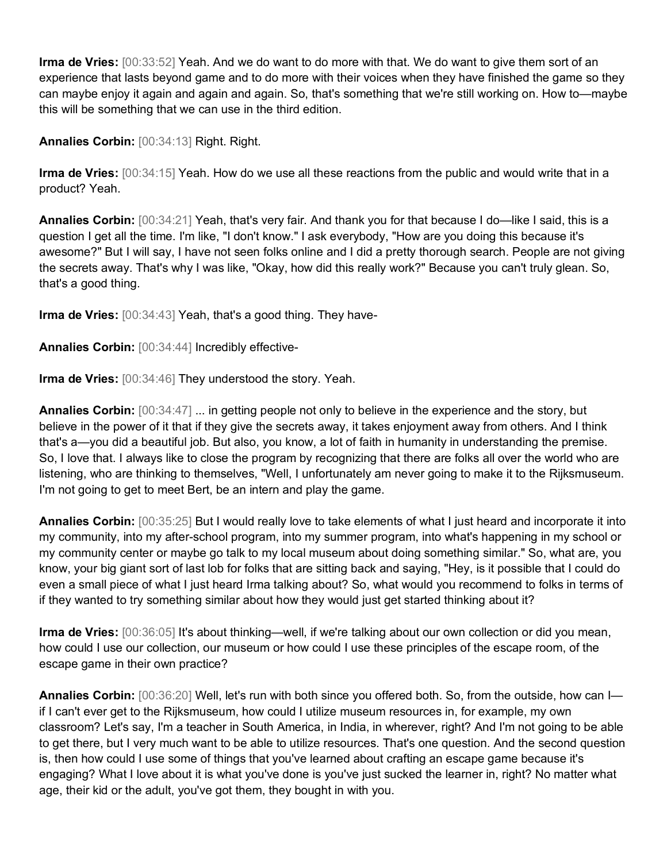**Irma de Vries:** [00:33:52] Yeah. And we do want to do more with that. We do want to give them sort of an experience that lasts beyond game and to do more with their voices when they have finished the game so they can maybe enjoy it again and again and again. So, that's something that we're still working on. How to—maybe this will be something that we can use in the third edition.

**Annalies Corbin:** [00:34:13] Right. Right.

**Irma de Vries:** [00:34:15] Yeah. How do we use all these reactions from the public and would write that in a product? Yeah.

**Annalies Corbin:** [00:34:21] Yeah, that's very fair. And thank you for that because I do—like I said, this is a question I get all the time. I'm like, "I don't know." I ask everybody, "How are you doing this because it's awesome?" But I will say, I have not seen folks online and I did a pretty thorough search. People are not giving the secrets away. That's why I was like, "Okay, how did this really work?" Because you can't truly glean. So, that's a good thing.

**Irma de Vries:** [00:34:43] Yeah, that's a good thing. They have-

**Annalies Corbin:** [00:34:44] Incredibly effective-

**Irma de Vries:** [00:34:46] They understood the story. Yeah.

**Annalies Corbin:** [00:34:47] ... in getting people not only to believe in the experience and the story, but believe in the power of it that if they give the secrets away, it takes enjoyment away from others. And I think that's a—you did a beautiful job. But also, you know, a lot of faith in humanity in understanding the premise. So, I love that. I always like to close the program by recognizing that there are folks all over the world who are listening, who are thinking to themselves, "Well, I unfortunately am never going to make it to the Rijksmuseum. I'm not going to get to meet Bert, be an intern and play the game.

**Annalies Corbin:** [00:35:25] But I would really love to take elements of what I just heard and incorporate it into my community, into my after-school program, into my summer program, into what's happening in my school or my community center or maybe go talk to my local museum about doing something similar." So, what are, you know, your big giant sort of last lob for folks that are sitting back and saying, "Hey, is it possible that I could do even a small piece of what I just heard Irma talking about? So, what would you recommend to folks in terms of if they wanted to try something similar about how they would just get started thinking about it?

**Irma de Vries:** [00:36:05] It's about thinking—well, if we're talking about our own collection or did you mean, how could I use our collection, our museum or how could I use these principles of the escape room, of the escape game in their own practice?

**Annalies Corbin:** [00:36:20] Well, let's run with both since you offered both. So, from the outside, how can I if I can't ever get to the Rijksmuseum, how could I utilize museum resources in, for example, my own classroom? Let's say, I'm a teacher in South America, in India, in wherever, right? And I'm not going to be able to get there, but I very much want to be able to utilize resources. That's one question. And the second question is, then how could I use some of things that you've learned about crafting an escape game because it's engaging? What I love about it is what you've done is you've just sucked the learner in, right? No matter what age, their kid or the adult, you've got them, they bought in with you.